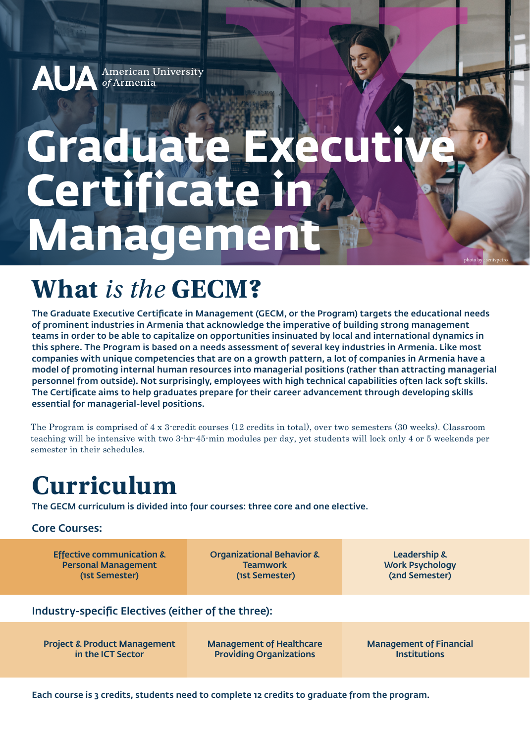#### American University Al of Armenia

# Graduate Exe **Certificate in Management**

### **What** *is the* **GECM?**

The Graduate Executive Certificate in Management (GECM, or the Program) targets the educational needs of prominent industries in Armenia that acknowledge the imperative of building strong management teams in order to be able to capitalize on opportunities insinuated by local and international dynamics in this sphere. The Program is based on a needs assessment of several key industries in Armenia. Like most companies with unique competencies that are on a growth pattern, a lot of companies in Armenia have a model of promoting internal human resources into managerial positions (rather than attracting managerial personnel from outside). Not surprisingly, employees with high technical capabilities often lack soft skills. The Certificate aims to help graduates prepare for their career advancement through developing skills essential for managerial-level positions.

The Program is comprised of 4 x 3-credit courses (12 credits in total), over two semesters (30 weeks). Classroom teaching will be intensive with two 3-hr-45-min modules per day, yet students will lock only 4 or 5 weekends per semester in their schedules.

### **Curriculum**

The GECM curriculum is divided into four courses: three core and one elective.

#### Core Courses:

Effective communication & Personal Management (1st Semester)

Organizational Behavior & **Teamwork** (1st Semester)

Leadership & Work Psychology (2nd Semester)

photo by : senivpetro

#### Industry-specific Electives (either of the three):

Project & Product Management in the ICT Sector

Management of Healthcare Providing Organizations

Management of Financial **Institutions** 

Each course is 3 credits, students need to complete 12 credits to graduate from the program.